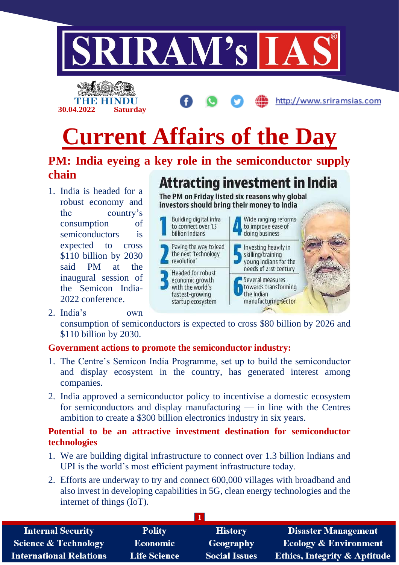



## **PM: India eyeing a key role in the semiconductor supply chain**

1. India is headed for a robust economy and the country's consumption of semiconductors is expected to cross \$110 billion by 2030 said PM at the inaugural session of the Semicon India-2022 conference.

2. India's own

**30.04.2022 Saturday**

# **Attracting investment in India**

http://www.sriramsias.com

The PM on Friday listed six reasons why global investors should bring their money to India



consumption of semiconductors is expected to cross \$80 billion by 2026 and \$110 billion by 2030.

## **Government actions to promote the semiconductor industry:**

- 1. The Centre's Semicon India Programme, set up to build the semiconductor and display ecosystem in the country, has generated interest among companies.
- 2. India approved a semiconductor policy to incentivise a domestic ecosystem for semiconductors and display manufacturing — in line with the Centres ambition to create a \$300 billion electronics industry in six years.

## **Potential to be an attractive investment destination for semiconductor technologies**

- 1. We are building digital infrastructure to connect over 1.3 billion Indians and UPI is the world's most efficient payment infrastructure today.
- 2. Efforts are underway to try and connect 600,000 villages with broadband and also invest in developing capabilities in 5G, clean energy technologies and the internet of things (IoT).

| <b>Internal Security</b>        | <b>Polity</b>       | <b>History</b>       | <b>Disaster Management</b>              |
|---------------------------------|---------------------|----------------------|-----------------------------------------|
| <b>Science &amp; Technology</b> | Economic            | Geography            | <b>Ecology &amp; Environment</b>        |
| <b>International Relations</b>  | <b>Life Science</b> | <b>Social Issues</b> | <b>Ethics, Integrity &amp; Aptitude</b> |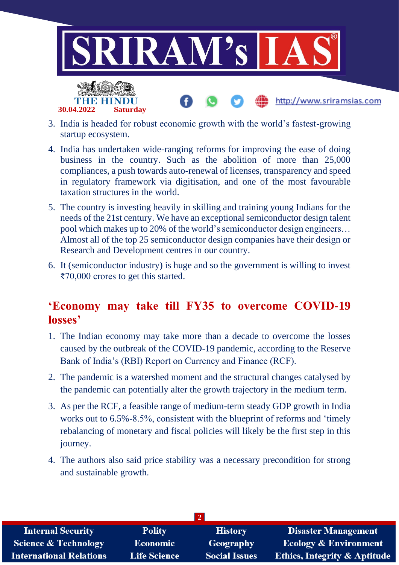

3. India is headed for robust economic growth with the world's fastest-growing startup ecosystem.

**30.04.2022 Saturday**

- 4. India has undertaken wide-ranging reforms for improving the ease of doing business in the country. Such as the abolition of more than 25,000 compliances, a push towards auto-renewal of licenses, transparency and speed in regulatory framework via digitisation, and one of the most favourable taxation structures in the world.
- 5. The country is investing heavily in skilling and training young Indians for the needs of the 21st century. We have an exceptional semiconductor design talent pool which makes up to 20% of the world's semiconductor design engineers… Almost all of the top 25 semiconductor design companies have their design or Research and Development centres in our country.
- 6. It (semiconductor industry) is huge and so the government is willing to invest ₹70,000 crores to get this started.

## **'Economy may take till FY35 to overcome COVID-19 losses'**

- 1. The Indian economy may take more than a decade to overcome the losses caused by the outbreak of the COVID-19 pandemic, according to the Reserve Bank of India's (RBI) Report on Currency and Finance (RCF).
- 2. The pandemic is a watershed moment and the structural changes catalysed by the pandemic can potentially alter the growth trajectory in the medium term.
- 3. As per the RCF, a feasible range of medium-term steady GDP growth in India works out to 6.5%-8.5%, consistent with the blueprint of reforms and 'timely rebalancing of monetary and fiscal policies will likely be the first step in this journey.
- 4. The authors also said price stability was a necessary precondition for strong and sustainable growth.

| <b>Internal Security</b>        | <b>Polity</b>       | <b>History</b>       | <b>Disaster Management</b>              |  |  |
|---------------------------------|---------------------|----------------------|-----------------------------------------|--|--|
| <b>Science &amp; Technology</b> | <b>Economic</b>     | Geography            | <b>Ecology &amp; Environment</b>        |  |  |
| <b>International Relations</b>  | <b>Life Science</b> | <b>Social Issues</b> | <b>Ethics, Integrity &amp; Aptitude</b> |  |  |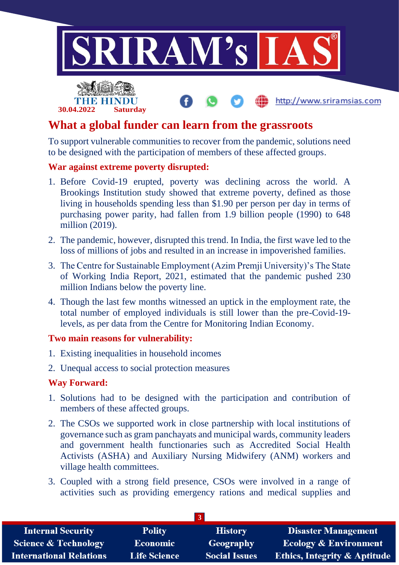

## **What a global funder can learn from the grassroots**

To support vulnerable communities to recover from the pandemic, solutions need to be designed with the participation of members of these affected groups.

### **War against extreme poverty disrupted:**

**30.04.2022 Saturday**

- 1. Before Covid-19 erupted, poverty was declining across the world. A Brookings Institution study showed that extreme poverty, defined as those living in households spending less than \$1.90 per person per day in terms of purchasing power parity, had fallen from 1.9 billion people (1990) to 648 million (2019).
- 2. The pandemic, however, disrupted this trend. In India, the first wave led to the loss of millions of jobs and resulted in an increase in impoverished families.
- 3. The Centre for Sustainable Employment (Azim Premji University)'s The State of Working India Report, 2021, estimated that the pandemic pushed 230 million Indians below the poverty line.
- 4. Though the last few months witnessed an uptick in the employment rate, the total number of employed individuals is still lower than the pre-Covid-19 levels, as per data from the Centre for Monitoring Indian Economy.

### **Two main reasons for vulnerability:**

- 1. Existing inequalities in household incomes
- 2. Unequal access to social protection measures

### **Way Forward:**

- 1. Solutions had to be designed with the participation and contribution of members of these affected groups.
- 2. The CSOs we supported work in close partnership with local institutions of governance such as gram panchayats and municipal wards, community leaders and government health functionaries such as Accredited Social Health Activists (ASHA) and Auxiliary Nursing Midwifery (ANM) workers and village health committees.
- 3. Coupled with a strong field presence, CSOs were involved in a range of activities such as providing emergency rations and medical supplies and

| <b>Internal Security</b>        | <b>Polity</b>       | <b>History</b>       | <b>Disaster Management</b>              |
|---------------------------------|---------------------|----------------------|-----------------------------------------|
| <b>Science &amp; Technology</b> | <b>Economic</b>     | <b>Geography</b>     | <b>Ecology &amp; Environment</b>        |
| <b>International Relations</b>  | <b>Life Science</b> | <b>Social Issues</b> | <b>Ethics, Integrity &amp; Aptitude</b> |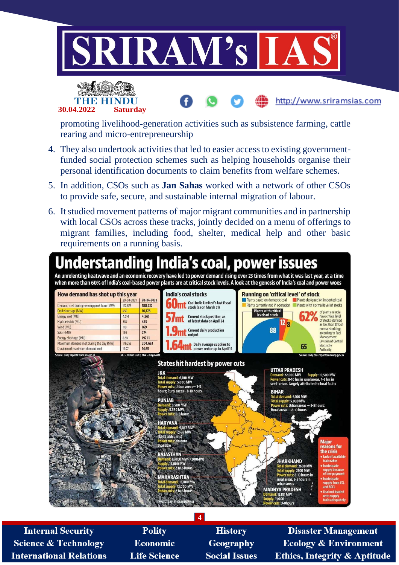



promoting livelihood-generation activities such as subsistence farming, cattle rearing and micro-entrepreneurship

- 4. They also undertook activities that led to easier access to existing governmentfunded social protection schemes such as helping households organise their personal identification documents to claim benefits from welfare schemes.
- 5. In addition, CSOs such as **Jan Sahas** worked with a network of other CSOs to provide safe, secure, and sustainable internal migration of labour.
- 6. It studied movement patterns of major migrant communities and in partnership with local CSOs across these tracks, jointly decided on a menu of offerings to migrant families, including food, shelter, medical help and other basic requirements on a running basis.



**4**

**Internal Security Science & Technology International Relations** 

**Polity Economic Life Science** 

**History** Geography **Social Issues** 

**Disaster Management Ecology & Environment Ethics, Integrity & Aptitude** 

http://www.sriramsias.com